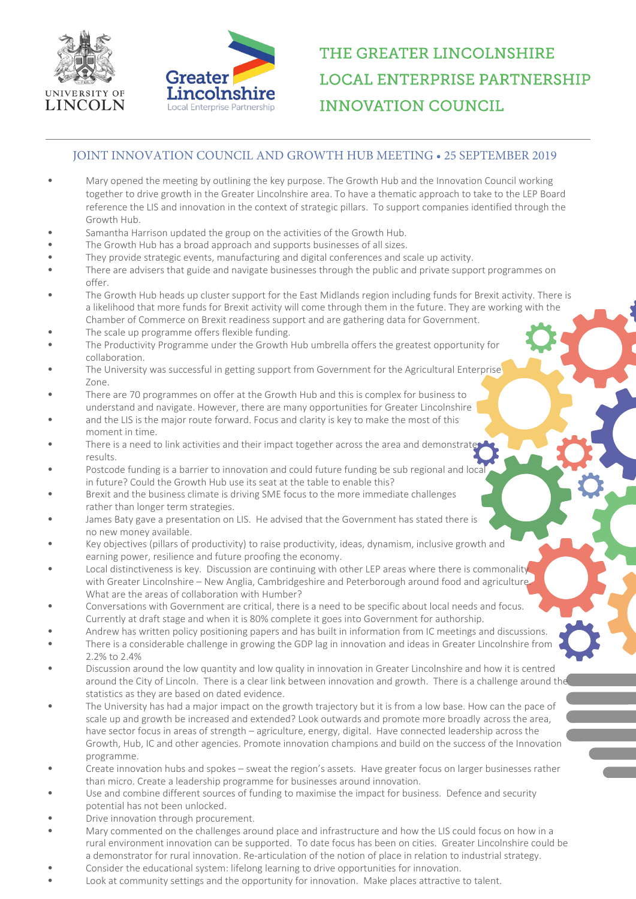



## THE GREATER LINCOLNSHIRE **LOCAL ENTERPRISE PARTNERSHIP INNOVATION COUNCIL**

## JOINT INNOVATION COUNCIL AND GROWTH HUB MEETING • 25 SEPTEMBER 2019

- Mary opened the meeting by outlining the key purpose. The Growth Hub and the Innovation Council working together to drive growth in the Greater Lincolnshire area. To have a thematic approach to take to the LEP Board reference the LIS and innovation in the context of strategic pillars. To support companies identified through the Growth Hub.
- Samantha Harrison updated the group on the activities of the Growth Hub.
- The Growth Hub has a broad approach and supports businesses of all sizes.
- They provide strategic events, manufacturing and digital conferences and scale up activity.
- There are advisers that guide and navigate businesses through the public and private support programmes on  $offer$
- The Growth Hub heads up cluster support for the East Midlands region including funds for Brexit activity. There is a likelihood that more funds for Brexit activity will come through them in the future. They are working with the Chamber of Commerce on Brexit readiness support and are gathering data for Government.
- The scale up programme offers flexible funding.
- The Productivity Programme under the Growth Hub umbrella offers the greatest opportunity for collaboration.
- The University was successful in getting support from Government for the Agricultural Enterprise Zone.
- There are 70 programmes on offer at the Growth Hub and this is complex for business to understand and navigate. However, there are many opportunities for Greater Lincolnshire
- and the LIS is the major route forward. Focus and clarity is key to make the most of this moment in time.
- There is a need to link activities and their impact together across the area and demonstrate results.
- Postcode funding is a barrier to innovation and could future funding be sub regional and local in future? Could the Growth Hub use its seat at the table to enable this?
- Brexit and the business climate is driving SME focus to the more immediate challenges rather than longer term strategies.
- James Baty gave a presentation on LIS. He advised that the Government has stated there is no new money available.
- Key objectives (pillars of productivity) to raise productivity, ideas, dynamism, inclusive growth and earning power, resilience and future proofing the economy.
- Local distinctiveness is key. Discussion are continuing with other LEP areas where there is commonality with Greater Lincolnshire – New Anglia, Cambridgeshire and Peterborough around food and agriculture. What are the areas of collaboration with Humber?
- Conversations with Government are critical, there is a need to be specific about local needs and focus. Currently at draft stage and when it is 80% complete it goes into Government for authorship.
- Andrew has written policy positioning papers and has built in information from IC meetings and discussions. • There is a considerable challenge in growing the GDP lag in innovation and ideas in Greater Lincolnshire from 2.2% to 2.4%
- Discussion around the low quantity and low quality in innovation in Greater Lincolnshire and how it is centred around the City of Lincoln. There is a clear link between innovation and growth. There is a challenge around the statistics as they are based on dated evidence.
- The University has had a major impact on the growth trajectory but it is from a low base. How can the pace of scale up and growth be increased and extended? Look outwards and promote more broadly across the area, have sector focus in areas of strength – agriculture, energy, digital. Have connected leadership across the Growth, Hub, IC and other agencies. Promote innovation champions and build on the success of the Innovation programme.
- Create innovation hubs and spokes sweat the region's assets. Have greater focus on larger businesses rather than micro. Create a leadership programme for businesses around innovation.
- Use and combine different sources of funding to maximise the impact for business. Defence and security potential has not been unlocked.
- Drive innovation through procurement.
- Mary commented on the challenges around place and infrastructure and how the LIS could focus on how in a rural environment innovation can be supported. To date focus has been on cities. Greater Lincolnshire could be a demonstrator for rural innovation. Re-articulation of the notion of place in relation to industrial strategy.
- Consider the educational system: lifelong learning to drive opportunities for innovation.
- Look at community settings and the opportunity for innovation. Make places attractive to talent.